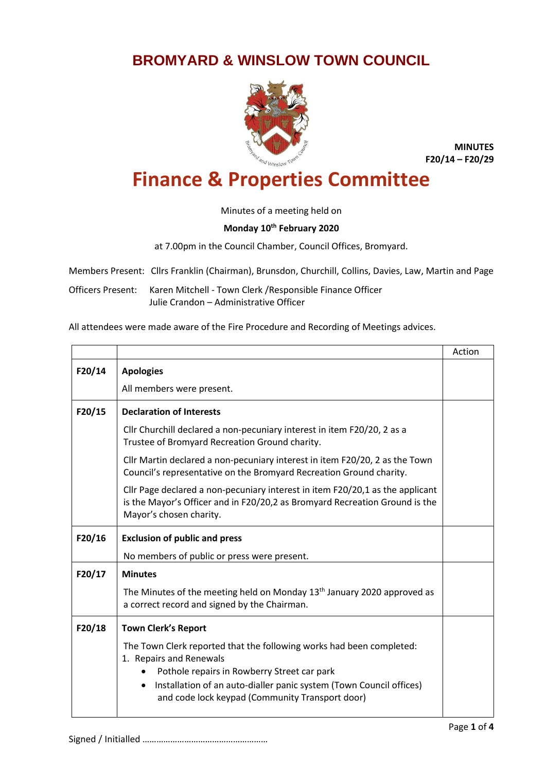## **BROMYARD & WINSLOW TOWN COUNCIL**



**MINUTES F20/14 – F20/29**

## **Finance & Properties Committee**

Minutes of a meeting held on

## **Monday 10th February 2020**

at 7.00pm in the Council Chamber, Council Offices, Bromyard.

Members Present: Cllrs Franklin (Chairman), Brunsdon, Churchill, Collins, Davies, Law, Martin and Page

Officers Present: Karen Mitchell - Town Clerk /Responsible Finance Officer Julie Crandon – Administrative Officer

All attendees were made aware of the Fire Procedure and Recording of Meetings advices.

|        |                                                                                                                                                                                                                                                                                       | Action |
|--------|---------------------------------------------------------------------------------------------------------------------------------------------------------------------------------------------------------------------------------------------------------------------------------------|--------|
| F20/14 | <b>Apologies</b>                                                                                                                                                                                                                                                                      |        |
|        | All members were present.                                                                                                                                                                                                                                                             |        |
| F20/15 | <b>Declaration of Interests</b>                                                                                                                                                                                                                                                       |        |
|        | Cllr Churchill declared a non-pecuniary interest in item F20/20, 2 as a<br>Trustee of Bromyard Recreation Ground charity.                                                                                                                                                             |        |
|        | Cllr Martin declared a non-pecuniary interest in item F20/20, 2 as the Town<br>Council's representative on the Bromyard Recreation Ground charity.                                                                                                                                    |        |
|        | Cllr Page declared a non-pecuniary interest in item F20/20,1 as the applicant<br>is the Mayor's Officer and in F20/20,2 as Bromyard Recreation Ground is the<br>Mayor's chosen charity.                                                                                               |        |
| F20/16 | <b>Exclusion of public and press</b>                                                                                                                                                                                                                                                  |        |
|        | No members of public or press were present.                                                                                                                                                                                                                                           |        |
| F20/17 | <b>Minutes</b>                                                                                                                                                                                                                                                                        |        |
|        | The Minutes of the meeting held on Monday $13th$ January 2020 approved as<br>a correct record and signed by the Chairman.                                                                                                                                                             |        |
| F20/18 | <b>Town Clerk's Report</b>                                                                                                                                                                                                                                                            |        |
|        | The Town Clerk reported that the following works had been completed:<br>1. Repairs and Renewals<br>Pothole repairs in Rowberry Street car park<br>Installation of an auto-dialler panic system (Town Council offices)<br>$\bullet$<br>and code lock keypad (Community Transport door) |        |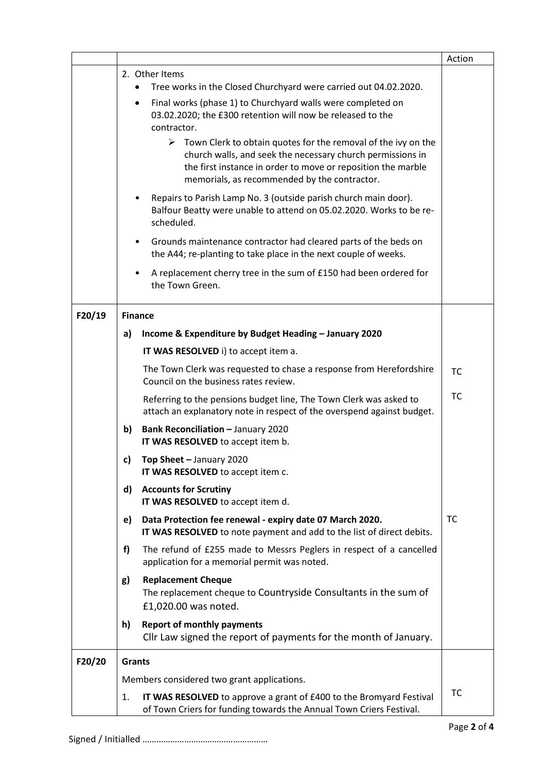|        |                                                                           |                                                                                                                                                                                                                                                              | Action    |
|--------|---------------------------------------------------------------------------|--------------------------------------------------------------------------------------------------------------------------------------------------------------------------------------------------------------------------------------------------------------|-----------|
|        |                                                                           | 2. Other Items                                                                                                                                                                                                                                               |           |
|        |                                                                           | Tree works in the Closed Churchyard were carried out 04.02.2020.                                                                                                                                                                                             |           |
|        |                                                                           | Final works (phase 1) to Churchyard walls were completed on<br>٠                                                                                                                                                                                             |           |
|        |                                                                           | 03.02.2020; the £300 retention will now be released to the<br>contractor.                                                                                                                                                                                    |           |
|        |                                                                           | $\triangleright$ Town Clerk to obtain quotes for the removal of the ivy on the<br>church walls, and seek the necessary church permissions in<br>the first instance in order to move or reposition the marble<br>memorials, as recommended by the contractor. |           |
|        |                                                                           | Repairs to Parish Lamp No. 3 (outside parish church main door).<br>Balfour Beatty were unable to attend on 05.02.2020. Works to be re-<br>scheduled.                                                                                                         |           |
|        |                                                                           | Grounds maintenance contractor had cleared parts of the beds on<br>$\bullet$<br>the A44; re-planting to take place in the next couple of weeks.                                                                                                              |           |
|        |                                                                           | A replacement cherry tree in the sum of £150 had been ordered for<br>the Town Green.                                                                                                                                                                         |           |
| F20/19 |                                                                           | <b>Finance</b>                                                                                                                                                                                                                                               |           |
|        | a)                                                                        | Income & Expenditure by Budget Heading - January 2020                                                                                                                                                                                                        |           |
|        |                                                                           | IT WAS RESOLVED i) to accept item a.                                                                                                                                                                                                                         |           |
|        |                                                                           | The Town Clerk was requested to chase a response from Herefordshire<br>Council on the business rates review.                                                                                                                                                 | <b>TC</b> |
|        |                                                                           | Referring to the pensions budget line, The Town Clerk was asked to<br>attach an explanatory note in respect of the overspend against budget.                                                                                                                 | TC        |
|        | b)                                                                        | <b>Bank Reconciliation - January 2020</b><br>IT WAS RESOLVED to accept item b.                                                                                                                                                                               |           |
|        | c)                                                                        | Top Sheet - January 2020<br>IT WAS RESOLVED to accept item c.                                                                                                                                                                                                |           |
|        | d)                                                                        | <b>Accounts for Scrutiny</b><br>IT WAS RESOLVED to accept item d.                                                                                                                                                                                            |           |
|        | e)                                                                        | Data Protection fee renewal - expiry date 07 March 2020.<br>IT WAS RESOLVED to note payment and add to the list of direct debits.                                                                                                                            | <b>TC</b> |
|        | f)                                                                        | The refund of £255 made to Messrs Peglers in respect of a cancelled<br>application for a memorial permit was noted.                                                                                                                                          |           |
|        | g)                                                                        | <b>Replacement Cheque</b><br>The replacement cheque to Countryside Consultants in the sum of<br>£1,020.00 was noted.                                                                                                                                         |           |
|        | h)                                                                        | <b>Report of monthly payments</b><br>Cllr Law signed the report of payments for the month of January.                                                                                                                                                        |           |
| F20/20 | <b>Grants</b>                                                             |                                                                                                                                                                                                                                                              |           |
|        | Members considered two grant applications.                                |                                                                                                                                                                                                                                                              |           |
|        | IT WAS RESOLVED to approve a grant of £400 to the Bromyard Festival<br>1. |                                                                                                                                                                                                                                                              |           |
|        |                                                                           | of Town Criers for funding towards the Annual Town Criers Festival.                                                                                                                                                                                          |           |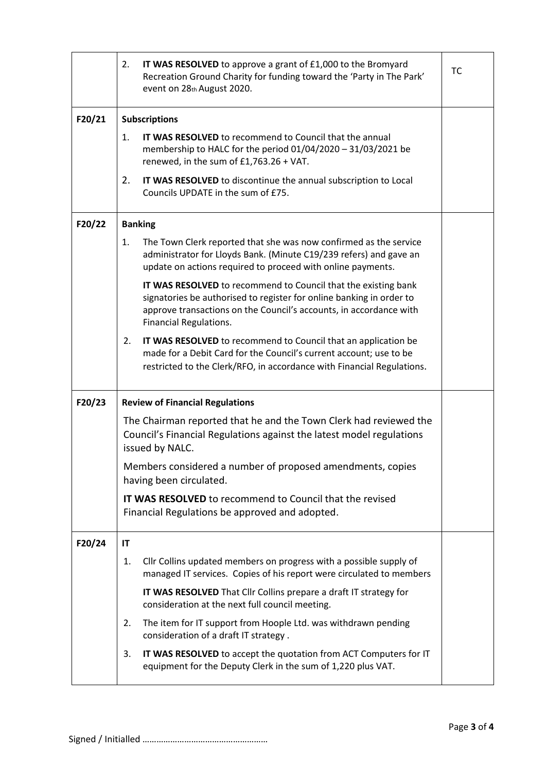|        | IT WAS RESOLVED to approve a grant of £1,000 to the Bromyard<br>2.<br>Recreation Ground Charity for funding toward the 'Party in The Park'<br>event on 28th August 2020.                                                               | TC |  |
|--------|----------------------------------------------------------------------------------------------------------------------------------------------------------------------------------------------------------------------------------------|----|--|
| F20/21 | <b>Subscriptions</b>                                                                                                                                                                                                                   |    |  |
|        | IT WAS RESOLVED to recommend to Council that the annual<br>1.<br>membership to HALC for the period 01/04/2020 - 31/03/2021 be<br>renewed, in the sum of $£1,763.26 + VAT$ .                                                            |    |  |
|        | 2.<br>IT WAS RESOLVED to discontinue the annual subscription to Local<br>Councils UPDATE in the sum of £75.                                                                                                                            |    |  |
| F20/22 | <b>Banking</b>                                                                                                                                                                                                                         |    |  |
|        | The Town Clerk reported that she was now confirmed as the service<br>1.<br>administrator for Lloyds Bank. (Minute C19/239 refers) and gave an<br>update on actions required to proceed with online payments.                           |    |  |
|        | IT WAS RESOLVED to recommend to Council that the existing bank<br>signatories be authorised to register for online banking in order to<br>approve transactions on the Council's accounts, in accordance with<br>Financial Regulations. |    |  |
|        | 2.<br>IT WAS RESOLVED to recommend to Council that an application be<br>made for a Debit Card for the Council's current account; use to be<br>restricted to the Clerk/RFO, in accordance with Financial Regulations.                   |    |  |
| F20/23 | <b>Review of Financial Regulations</b>                                                                                                                                                                                                 |    |  |
|        | The Chairman reported that he and the Town Clerk had reviewed the<br>Council's Financial Regulations against the latest model regulations<br>issued by NALC.                                                                           |    |  |
|        | Members considered a number of proposed amendments, copies<br>having been circulated.                                                                                                                                                  |    |  |
|        | IT WAS RESOLVED to recommend to Council that the revised<br>Financial Regulations be approved and adopted.                                                                                                                             |    |  |
| F20/24 | IT                                                                                                                                                                                                                                     |    |  |
|        | Cllr Collins updated members on progress with a possible supply of<br>1.<br>managed IT services. Copies of his report were circulated to members                                                                                       |    |  |
|        | IT WAS RESOLVED That Cllr Collins prepare a draft IT strategy for<br>consideration at the next full council meeting.                                                                                                                   |    |  |
|        | The item for IT support from Hoople Ltd. was withdrawn pending<br>2.<br>consideration of a draft IT strategy.                                                                                                                          |    |  |
|        | IT WAS RESOLVED to accept the quotation from ACT Computers for IT<br>3.<br>equipment for the Deputy Clerk in the sum of 1,220 plus VAT.                                                                                                |    |  |